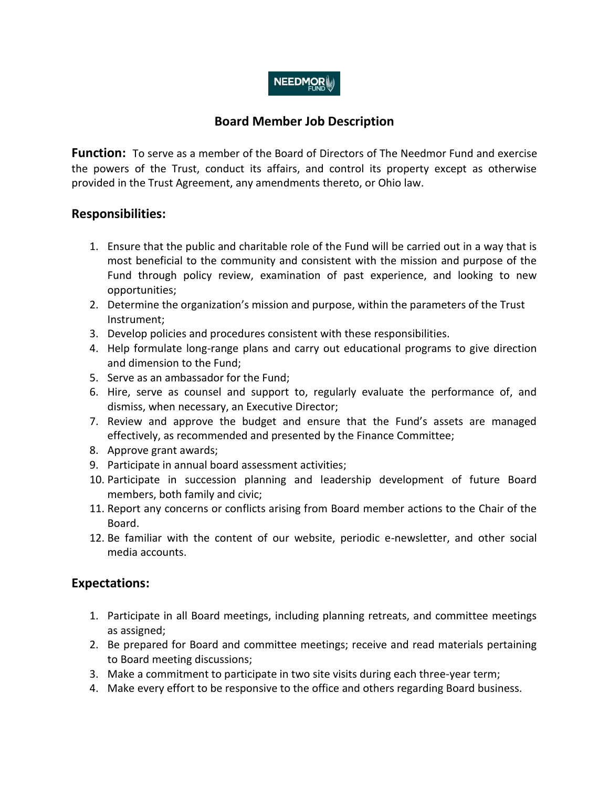# **NEEDMOR**

# **Board Member Job Description**

**Function:** To serve as a member of the Board of Directors of The Needmor Fund and exercise the powers of the Trust, conduct its affairs, and control its property except as otherwise provided in the Trust Agreement, any amendments thereto, or Ohio law.

#### **Responsibilities:**

- 1. Ensure that the public and charitable role of the Fund will be carried out in a way that is most beneficial to the community and consistent with the mission and purpose of the Fund through policy review, examination of past experience, and looking to new opportunities;
- 2. Determine the organization's mission and purpose, within the parameters of the Trust Instrument;
- 3. Develop policies and procedures consistent with these responsibilities.
- 4. Help formulate long-range plans and carry out educational programs to give direction and dimension to the Fund;
- 5. Serve as an ambassador for the Fund;
- 6. Hire, serve as counsel and support to, regularly evaluate the performance of, and dismiss, when necessary, an Executive Director;
- 7. Review and approve the budget and ensure that the Fund's assets are managed effectively, as recommended and presented by the Finance Committee;
- 8. Approve grant awards;
- 9. Participate in annual board assessment activities;
- 10. Participate in succession planning and leadership development of future Board members, both family and civic;
- 11. Report any concerns or conflicts arising from Board member actions to the Chair of the Board.
- 12. Be familiar with the content of our website, periodic e-newsletter, and other social media accounts.

## **Expectations:**

- 1. Participate in all Board meetings, including planning retreats, and committee meetings as assigned;
- 2. Be prepared for Board and committee meetings; receive and read materials pertaining to Board meeting discussions;
- 3. Make a commitment to participate in two site visits during each three-year term;
- 4. Make every effort to be responsive to the office and others regarding Board business.